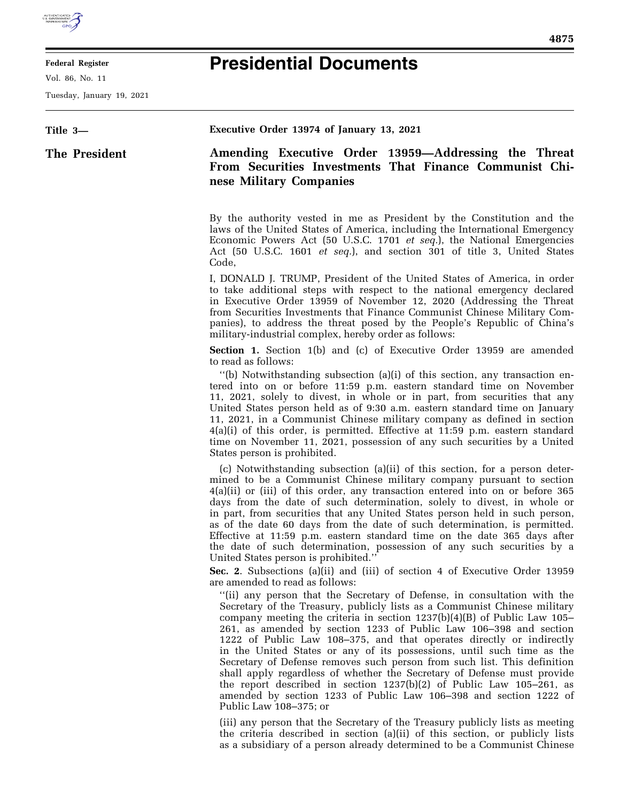## **Presidential Documents**

E

**Federal Register**  Vol. 86, No. 11

Tuesday, January 19, 2021

| Title 3-      | Executive Order 13974 of January 13, 2021                                                                                                                                                                                                                                                                                                                                                                                                                                                                                                                                                                                                                                                                                                                                                                                                                                                                                                                                                                                                                                                                                                                                                                                                                                                                                                                                                                                                                                                                                                                                                         |
|---------------|---------------------------------------------------------------------------------------------------------------------------------------------------------------------------------------------------------------------------------------------------------------------------------------------------------------------------------------------------------------------------------------------------------------------------------------------------------------------------------------------------------------------------------------------------------------------------------------------------------------------------------------------------------------------------------------------------------------------------------------------------------------------------------------------------------------------------------------------------------------------------------------------------------------------------------------------------------------------------------------------------------------------------------------------------------------------------------------------------------------------------------------------------------------------------------------------------------------------------------------------------------------------------------------------------------------------------------------------------------------------------------------------------------------------------------------------------------------------------------------------------------------------------------------------------------------------------------------------------|
| The President | Amending Executive Order 13959-Addressing the Threat<br>From Securities Investments That Finance Communist Chi-<br>nese Military Companies                                                                                                                                                                                                                                                                                                                                                                                                                                                                                                                                                                                                                                                                                                                                                                                                                                                                                                                                                                                                                                                                                                                                                                                                                                                                                                                                                                                                                                                        |
|               | By the authority vested in me as President by the Constitution and the<br>laws of the United States of America, including the International Emergency<br>Economic Powers Act (50 U.S.C. 1701 et seq.), the National Emergencies<br>Act (50 U.S.C. 1601 et seq.), and section 301 of title 3, United States<br>Code,                                                                                                                                                                                                                                                                                                                                                                                                                                                                                                                                                                                                                                                                                                                                                                                                                                                                                                                                                                                                                                                                                                                                                                                                                                                                               |
|               | I, DONALD J. TRUMP, President of the United States of America, in order<br>to take additional steps with respect to the national emergency declared<br>in Executive Order 13959 of November 12, 2020 (Addressing the Threat<br>from Securities Investments that Finance Communist Chinese Military Com-<br>panies), to address the threat posed by the People's Republic of China's<br>military-industrial complex, hereby order as follows:                                                                                                                                                                                                                                                                                                                                                                                                                                                                                                                                                                                                                                                                                                                                                                                                                                                                                                                                                                                                                                                                                                                                                      |
|               | <b>Section 1.</b> Section 1(b) and (c) of Executive Order 13959 are amended<br>to read as follows:<br>"(b) Notwithstanding subsection (a)(i) of this section, any transaction en-<br>tered into on or before 11:59 p.m. eastern standard time on November<br>11, 2021, solely to divest, in whole or in part, from securities that any<br>United States person held as of 9:30 a.m. eastern standard time on January<br>11, 2021, in a Communist Chinese military company as defined in section<br>$4(a)(i)$ of this order, is permitted. Effective at 11:59 p.m. eastern standard<br>time on November 11, 2021, possession of any such securities by a United<br>States person is prohibited.                                                                                                                                                                                                                                                                                                                                                                                                                                                                                                                                                                                                                                                                                                                                                                                                                                                                                                    |
|               | (c) Notwithstanding subsection (a)(ii) of this section, for a person deter-<br>mined to be a Communist Chinese military company pursuant to section<br>$4(a)(ii)$ or (iii) of this order, any transaction entered into on or before 365<br>days from the date of such determination, solely to divest, in whole or<br>in part, from securities that any United States person held in such person,<br>as of the date 60 days from the date of such determination, is permitted.<br>Effective at 11:59 p.m. eastern standard time on the date 365 days after<br>the date of such determination, possession of any such securities by a<br>United States person is prohibited."<br>Sec. 2. Subsections (a)(ii) and (iii) of section 4 of Executive Order 13959<br>are amended to read as follows:<br>"(ii) any person that the Secretary of Defense, in consultation with the<br>Secretary of the Treasury, publicly lists as a Communist Chinese military<br>company meeting the criteria in section $1237(b)(4)(B)$ of Public Law $105-$<br>261, as amended by section 1233 of Public Law 106–398 and section<br>1222 of Public Law 108-375, and that operates directly or indirectly<br>in the United States or any of its possessions, until such time as the<br>Secretary of Defense removes such person from such list. This definition<br>shall apply regardless of whether the Secretary of Defense must provide<br>the report described in section $1237(b)(2)$ of Public Law $105-261$ , as<br>amended by section 1233 of Public Law 106-398 and section 1222 of<br>Public Law 108-375; or |
|               | (iii) any person that the Secretary of the Treasury publicly lists as meeting<br>the criteria described in section (a)(ii) of this section, or publicly lists<br>as a subsidiary of a person already determined to be a Communist Chinese                                                                                                                                                                                                                                                                                                                                                                                                                                                                                                                                                                                                                                                                                                                                                                                                                                                                                                                                                                                                                                                                                                                                                                                                                                                                                                                                                         |